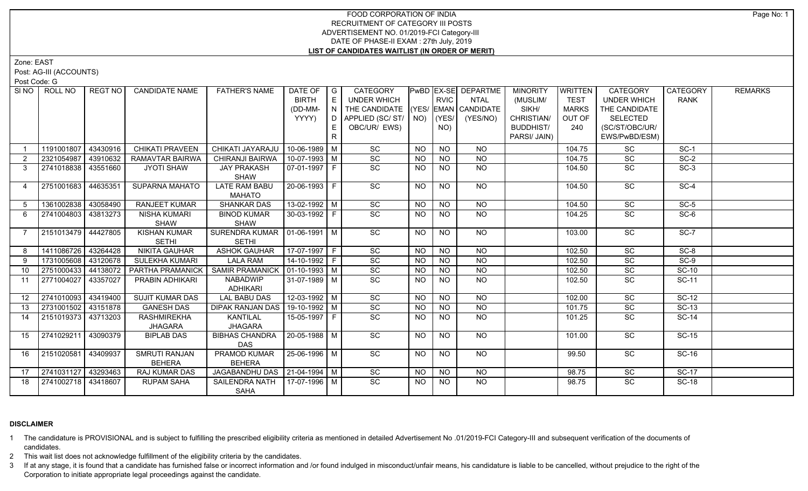# FOOD CORPORATION OF INDIA RECRUITMENT OF CATEGORY III POSTS ADVERTISEMENT NO. 01/2019-FCI Category-III DATE OF PHASE-II EXAM : 27th July, 2019 **LIST OF CANDIDATES WAITLIST (IN ORDER OF MERIT)**

Zone: EAST

Post: AG-III (ACCOUNTS)

Post Code: G

|                 | SINO ROLL NO          | REGT NO  | <b>CANDIDATE NAME</b>  | <b>FATHER'S NAME</b>            | DATE OF   G          |               | CATEGORY                           |               |                 | PwBD EX-SE DEPARTME | <b>MINORITY</b>  | WRITTEN      | <b>CATEGORY</b>    | <b>CATEGORY</b> | <b>REMARKS</b> |
|-----------------|-----------------------|----------|------------------------|---------------------------------|----------------------|---------------|------------------------------------|---------------|-----------------|---------------------|------------------|--------------|--------------------|-----------------|----------------|
|                 |                       |          |                        |                                 | <b>BIRTH</b>         | E             | <b>UNDER WHICH</b>                 |               | <b>RVIC</b>     | <b>NTAL</b>         | (MUSLIM/         | <b>TEST</b>  | <b>UNDER WHICH</b> | <b>RANK</b>     |                |
|                 |                       |          |                        |                                 | (DD-MM-              | $\pm$ N $\pm$ | THE CANDIDATE (YES/ EMAN CANDIDATE |               |                 |                     | SIKH/            | <b>MARKS</b> | THE CANDIDATE      |                 |                |
|                 |                       |          |                        |                                 | YYYY)                | D             | APPLIED (SC/ST/                    | $NO)$ $(YES/$ |                 | (YES/NO)            | CHRISTIAN/       | OUT OF       | SELECTED           |                 |                |
|                 |                       |          |                        |                                 |                      | E.            | OBC/UR/ EWS)                       |               | NO)             |                     | <b>BUDDHIST/</b> | 240          | (SC/ST/OBC/UR/     |                 |                |
|                 |                       |          |                        |                                 |                      | R             |                                    |               |                 |                     | PARSI/ JAIN)     |              | EWS/PwBD/ESM)      |                 |                |
|                 | 1191001807            | 43430916 | CHIKATI PRAVEEN        | CHIKATI JAYARAJU                | 10-06-1989 M         |               | SC                                 | <b>NO</b>     | <b>NO</b>       | <b>NO</b>           |                  | 104.75       | SC                 | $SC-1$          |                |
| $\overline{2}$  | 2321054987            | 43910632 | RAMAVTAR BAIRWA        | CHIRANJI BAIRWA                 | $10-07-1993$ M       |               | SC                                 | <b>NO</b>     | NO              | $N$ O               |                  | 104.75       | SC                 | $SC-2$          |                |
| 3               | 2741018838 43551660   |          | <b>JYOTI SHAW</b>      | <b>JAY PRAKASH</b>              | 07-01-1997 F         |               | SC                                 | NO.           | NO.             | NO                  |                  | 104.50       | SC.                | $SC-3$          |                |
|                 |                       |          |                        | SHAW                            |                      |               |                                    |               |                 |                     |                  |              |                    |                 |                |
| 4               | 2751001683 44635351   |          | <b>SUPARNA MAHATO</b>  | <b>LATE RAM BABU</b>            | 20-06-1993 F         |               | SC                                 | <b>NO</b>     | <b>NO</b>       | <b>NO</b>           |                  | 104.50       | SC                 | $SC-4$          |                |
|                 |                       |          |                        | <b>MAHATO</b>                   |                      |               |                                    |               |                 |                     |                  |              |                    |                 |                |
| 5               | 1361002838 43058490   |          | <b>RANJEET KUMAR</b>   | <b>SHANKAR DAS</b>              | $13-02-1992$ M       |               | SC                                 | <b>NO</b>     | N <sub>O</sub>  | N <sub>O</sub>      |                  | 104.50       | SC                 | $SC-5$          |                |
| 6               | 2741004803   43813273 |          | NISHA KUMARI           | <b>BINOD KUMAR</b>              | 30-03-1992 F         |               | $\overline{SC}$                    | NO.           | <b>NO</b>       | $\overline{NQ}$     |                  | 104.25       | $\overline{SC}$    | $SC-6$          |                |
|                 |                       |          | <b>SHAW</b>            | SHAW                            |                      |               |                                    |               |                 |                     |                  |              |                    |                 |                |
|                 | 2151013479 44427805   |          | <b>KISHAN KUMAR</b>    | SURENDRA KUMAR   01-06-1991   M |                      |               | $\overline{SC}$                    | NO            | N <sub>O</sub>  | $N$ <sup>O</sup>    |                  | 103.00       | $\overline{SC}$    | $SC-7$          |                |
|                 |                       |          | <b>SETHI</b>           | <b>SETHI</b>                    |                      |               |                                    |               |                 |                     |                  |              |                    |                 |                |
| 8               | 1411086726 43264428   |          | <b>NIKITA GAUHAR</b>   | <b>ASHOK GAUHAR</b>             | 17-07-1997 F         |               | $\overline{SC}$                    | <b>NO</b>     | $N$ O           | $N$ O               |                  | 102.50       | $\overline{SC}$    | $SC-8$          |                |
| 9               | 1731005608 43120678   |          | <b>SULEKHA KUMARI</b>  | <b>LALA RAM</b>                 | $14-10-1992$ F       |               | $\overline{SC}$                    | <b>NO</b>     | N <sub>O</sub>  | $N$ O               |                  | 102.50       | $\overline{SC}$    | $SC-9$          |                |
| 10              | 2751000433            | 44138072 | PARTHA PRAMANICK       | <b>SAMIR PRAMANICK</b>          | $ 01 - 10 - 1993 $ M |               | $\overline{SC}$                    | <b>NO</b>     | <b>NO</b>       | $N$ O               |                  | 102.50       | $\overline{SC}$    | $SC-10$         |                |
| 11              | 2771004027            | 43357027 | PRABIN ADHIKARI        | <b>NABADWIP</b>                 | 31-07-1989 M         |               | $\overline{SC}$                    | NO            | N <sub>O</sub>  | N                   |                  | 102.50       | $\overline{SC}$    | $SC-11$         |                |
|                 |                       |          |                        | ADHIKARI                        |                      |               |                                    |               |                 |                     |                  |              |                    |                 |                |
| 12 <sup>1</sup> | 2741010093 43419400   |          | <b>SUJIT KUMAR DAS</b> | <b>LAL BABU DAS</b>             | 12-03-1992 M         |               | SC                                 | NO.           | <b>NO</b>       | <b>NO</b>           |                  | 102.00       | $\overline{SC}$    | $SC-12$         |                |
| 13              | 2731001502 43151878   |          | <b>GANESH DAS</b>      | <b>DIPAK RANJAN DAS</b>         | 19-10-1992 M         |               | SC                                 | <b>NO</b>     | $N$ O           | $N$ O               |                  | 101.75       | SC                 | $SC-13$         |                |
| 14              | 2151019373 43713203   |          | <b>RASHMIREKHA</b>     | <b>KANTILAL</b>                 | 15-05-1997 F         |               | SC                                 | NO.           | <b>NO</b>       | $N$ O               |                  | 101.25       | SC                 | <b>SC-14</b>    |                |
|                 |                       |          | <b>JHAGARA</b>         | <b>JHAGARA</b>                  |                      |               |                                    |               |                 |                     |                  |              |                    |                 |                |
| 15              | 2741029211            | 43090379 | <b>BIPLAB DAS</b>      | <b>BIBHAS CHANDRA</b>           | 20-05-1988 M         |               | SC                                 | NO            | <b>NO</b>       | <b>NO</b>           |                  | 101.00       | SC                 | <b>SC-15</b>    |                |
|                 |                       |          |                        | <b>DAS</b>                      |                      |               |                                    |               |                 |                     |                  |              |                    |                 |                |
| 16              | 2151020581            | 43409937 | SMRUTI RANJAN          | PRAMOD KUMAR                    | 25-06-1996 M         |               | SC                                 | NO            | <b>NO</b>       | NO                  |                  | 99.50        | $\overline{SC}$    | SC-16           |                |
|                 |                       |          | <b>BEHERA</b>          | <b>BEHERA</b>                   |                      |               |                                    |               |                 |                     |                  |              |                    |                 |                |
| 17              | 2741031127 43293463   |          | RAJ KUMAR DAS          | JAGABANDHU DAS   21-04-1994   M |                      |               | $\overline{SC}$                    | NO.           | <b>NO</b>       | <b>NO</b>           |                  | 98.75        | SC                 | $SC-17$         |                |
| 18              | 2741002718 43418607   |          | <b>RUPAM SAHA</b>      | <b>SAILENDRA NATH</b>           | 17-07-1996 M         |               | $\overline{SC}$                    | NO.           | $\overline{NO}$ | N <sub>O</sub>      |                  | 98.75        | SC                 | <b>SC-18</b>    |                |
|                 |                       |          |                        | SAHA                            |                      |               |                                    |               |                 |                     |                  |              |                    |                 |                |

# **DISCLAIMER**

1 The candidature is PROVISIONAL and is subject to fulfilling the prescribed eligibility criteria as mentioned in detailed Advertisement No .01/2019-FCI Category-III and subsequent verification of the documents of candidates.

2 This wait list does not acknowledge fulfillment of the eligibility criteria by the candidates.

3 If at any stage, it is found that a candidate has furnished false or incorrect information and /or found indulged in misconduct/unfair means, his candidature is liable to be cancelled, without prejudice to the right of t Corporation to initiate appropriate legal proceedings against the candidate.

Page No: 1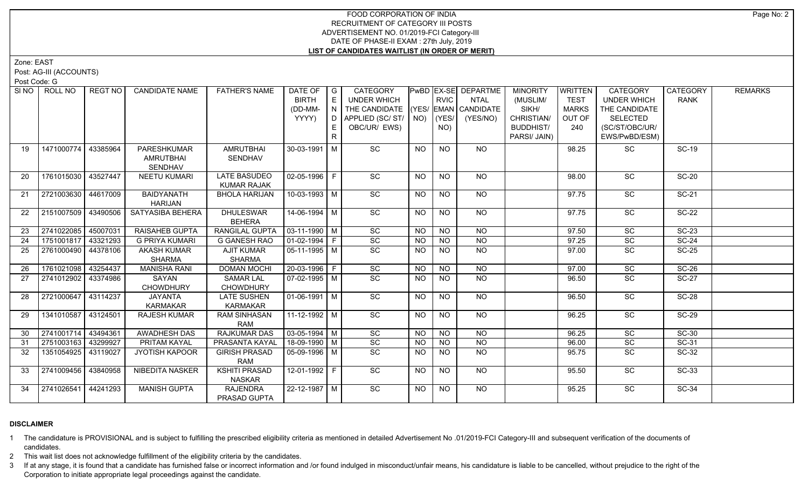# FOOD CORPORATION OF INDIA RECRUITMENT OF CATEGORY III POSTS ADVERTISEMENT NO. 01/2019-FCI Category-III DATE OF PHASE-II EXAM : 27th July, 2019 **LIST OF CANDIDATES WAITLIST (IN ORDER OF MERIT)**

Zone: EAST

Post: AG-III (ACCOUNTS)

Post Code: G

| SINO            | ROLL NO             | <b>REGT NO</b> | <b>CANDIDATE NAME</b>  | <b>FATHER'S NAME</b> | DATE OF $ G $                |    | CATEGORY                           |                 |                 | PwBD EX-SE DEPARTME | <b>MINORITY</b>  | WRITTEN      | <b>CATEGORY</b>    | <b>CATEGORY</b> | <b>REMARKS</b> |
|-----------------|---------------------|----------------|------------------------|----------------------|------------------------------|----|------------------------------------|-----------------|-----------------|---------------------|------------------|--------------|--------------------|-----------------|----------------|
|                 |                     |                |                        |                      | <b>BIRTH</b>                 | E  | UNDER WHICH                        |                 | <b>RVIC</b>     | <b>NTAL</b>         | (MUSLIM/         | <b>TEST</b>  | <b>UNDER WHICH</b> | <b>RANK</b>     |                |
|                 |                     |                |                        |                      | (DD-MM-                      |    | THE CANDIDATE (YES/ EMAN CANDIDATE |                 |                 |                     | SIKH/            | <b>MARKS</b> | THE CANDIDATE      |                 |                |
|                 |                     |                |                        |                      | YYYY)                        |    | D   APPLIED (SC/ ST/   NO)         |                 | $ $ (YES/       | (YES/NO)            | CHRISTIAN/       | OUT OF       | <b>SELECTED</b>    |                 |                |
|                 |                     |                |                        |                      |                              | E. | OBC/UR/ EWS)                       |                 | NO)             |                     | <b>BUDDHIST/</b> | 240          | (SC/ST/OBC/UR/     |                 |                |
|                 |                     |                |                        |                      |                              | R. |                                    |                 |                 |                     | PARSI/ JAIN)     |              | EWS/PwBD/ESM)      |                 |                |
| 19              | 1471000774          | 43385964       | PARESHKUMAR            | <b>AMRUTBHAI</b>     | $30-03-1991$ M               |    | SC                                 | NO              | <b>NO</b>       | NO.                 |                  | 98.25        | SC                 | <b>SC-19</b>    |                |
|                 |                     |                | AMRUTBHAI              | SENDHAV              |                              |    |                                    |                 |                 |                     |                  |              |                    |                 |                |
|                 |                     |                | SENDHAV                |                      |                              |    |                                    |                 |                 |                     |                  |              |                    |                 |                |
| -20             | 1761015030 43527447 |                | <b>NEETU KUMARI</b>    | <b>LATE BASUDEO</b>  | 02-05-1996   F               |    | $\overline{SC}$                    | NO.             | NO              | NO.                 |                  | 98.00        | $\overline{SC}$    | $SC-20$         |                |
|                 |                     |                |                        | <b>KUMAR RAJAK</b>   |                              |    |                                    |                 |                 |                     |                  |              |                    |                 |                |
| 21              | 2721003630 44617009 |                | <b>BAIDYANATH</b>      | <b>BHOLA HARIJAN</b> | $10-03-1993$ M               |    | SC                                 | <b>NO</b>       | N <sub>O</sub>  | NO                  |                  | 97.75        | SC                 | <b>SC-21</b>    |                |
|                 |                     |                | <b>HARIJAN</b>         |                      |                              |    |                                    |                 |                 |                     |                  |              |                    |                 |                |
| 22              | 2151007509 43490506 |                | SATYASIBA BEHERA       | <b>DHULESWAR</b>     | $14 - 06 - 1994$ M           |    | SC                                 | <b>NO</b>       | <b>NO</b>       | <b>NO</b>           |                  | 97.75        | SC                 | <b>SC-22</b>    |                |
|                 |                     |                |                        | <b>BEHERA</b>        |                              |    |                                    |                 |                 |                     |                  |              |                    |                 |                |
| 23              | 2741022085 45007031 |                | RAISAHEB GUPTA         | RANGILAL GUPTA       | $\vert$ 03-11-1990 $\vert$ M |    | SC                                 | NO.             | NO              | NO                  |                  | 97.50        | SC                 | $SC-23$         |                |
| $\overline{24}$ | 1751001817 43321293 |                | <b>G PRIYA KUMARI</b>  | <b>G GANESH RAO</b>  | $ 01-02-1994 F$              |    | SC                                 | $\overline{NO}$ | $\overline{NO}$ | $\overline{NQ}$     |                  | 97.25        | SC                 | $SC-24$         |                |
| 25              | 2761000490 44378106 |                | <b>AKASH KUMAR</b>     | <b>AJIT KUMAR</b>    | 05-11-1995   M               |    | SC                                 | <b>NO</b>       | NO.             | <b>NO</b>           |                  | 97.00        | $\overline{SC}$    | $SC-25$         |                |
|                 |                     |                | <b>SHARMA</b>          | SHARMA               |                              |    |                                    |                 |                 |                     |                  |              |                    |                 |                |
| -26             | 1761021098 43254437 |                | <b>MANISHA RANI</b>    | <b>DOMAN MOCHI</b>   | $20-03-1996$ F               |    | $\overline{SC}$                    | <b>NO</b>       | <b>NO</b>       | <b>NO</b>           |                  | 97.00        | $\overline{SC}$    | $SC-26$         |                |
| 27              | 2741012902 43374986 |                | SAYAN                  | <b>SAMAR LAL</b>     | $\sqrt{07-02-1995}$ M        |    | $\overline{SC}$                    | <b>NO</b>       | <b>NO</b>       | NO                  |                  | 96.50        | $\overline{SC}$    | $SC-27$         |                |
|                 |                     |                | <b>CHOWDHURY</b>       | <b>CHOWDHURY</b>     |                              |    |                                    |                 |                 |                     |                  |              |                    |                 |                |
| 28              | 2721000647 43114237 |                | JAYANTA                | <b>LATE SUSHEN</b>   | $\sqrt{01-06-1991}$ M        |    | $\overline{SC}$                    | <b>NO</b>       | <b>NO</b>       | <b>NO</b>           |                  | 96.50        | SC                 | $SC-28$         |                |
|                 |                     |                | <b>KARMAKAR</b>        | <b>KARMAKAR</b>      |                              |    |                                    |                 |                 |                     |                  |              |                    |                 |                |
| 29              | 1341010587 43124501 |                | <b>RAJESH KUMAR</b>    | <b>RAM SINHASAN</b>  | 11-12-1992   M               |    | SC                                 | <b>NO</b>       | NO.             | NO.                 |                  | 96.25        | SC                 | <b>SC-29</b>    |                |
|                 |                     |                |                        | <b>RAM</b>           |                              |    |                                    |                 |                 |                     |                  |              |                    |                 |                |
| 30              | 2741001714          | 43494361       | <b>AWADHESH DAS</b>    | <b>RAJKUMAR DAS</b>  | $\sqrt{03-05-1994}$ M        |    | SC                                 | <b>NO</b>       | <b>NO</b>       | <b>NO</b>           |                  | 96.25        | SC                 | <b>SC-30</b>    |                |
| 31              | 2751003163 43299927 |                | PRITAM KAYAL           | PRASANTA KAYAL       | 18-09-1990 M                 |    | $\operatorname{\textsf{SC}}$       | <b>NO</b>       | <b>NO</b>       | <b>NO</b>           |                  | 96.00        | SC                 | SC-31           |                |
| 32              | 1351054925          | 43119027       | <b>JYOTISH KAPOOR</b>  | <b>GIRISH PRASAD</b> | 05-09-1996 M                 |    | SC                                 | NO.             | <b>NO</b>       | <b>NO</b>           |                  | 95.75        | SC                 | <b>SC-32</b>    |                |
|                 |                     |                |                        | <b>RAM</b>           |                              |    |                                    |                 |                 |                     |                  |              |                    |                 |                |
| 33              | 2741009456          | 43840958       | <b>NIBEDITA NASKER</b> | <b>KSHITI PRASAD</b> | $12 - 01 - 1992$ F           |    | $\overline{SC}$                    | NO              | <b>NO</b>       | NO                  |                  | 95.50        | $\overline{SC}$    | $SC-33$         |                |
|                 |                     |                |                        | <b>NASKAR</b>        |                              |    |                                    |                 |                 |                     |                  |              |                    |                 |                |
| 34              | 2741026541 44241293 |                | <b>MANISH GUPTA</b>    | <b>RAJENDRA</b>      | $22 - 12 - 1987$ M           |    | $\overline{SC}$                    | NO.             | NO.             | $N$ <sup>O</sup>    |                  | 95.25        | $\overline{SC}$    | $SC-34$         |                |
|                 |                     |                |                        | PRASAD GUPTA         |                              |    |                                    |                 |                 |                     |                  |              |                    |                 |                |

# **DISCLAIMER**

1 The candidature is PROVISIONAL and is subject to fulfilling the prescribed eligibility criteria as mentioned in detailed Advertisement No .01/2019-FCI Category-III and subsequent verification of the documents of candidates.

2 This wait list does not acknowledge fulfillment of the eligibility criteria by the candidates.

3 If at any stage, it is found that a candidate has furnished false or incorrect information and /or found indulged in misconduct/unfair means, his candidature is liable to be cancelled, without prejudice to the right of t Corporation to initiate appropriate legal proceedings against the candidate.

Page No: 2